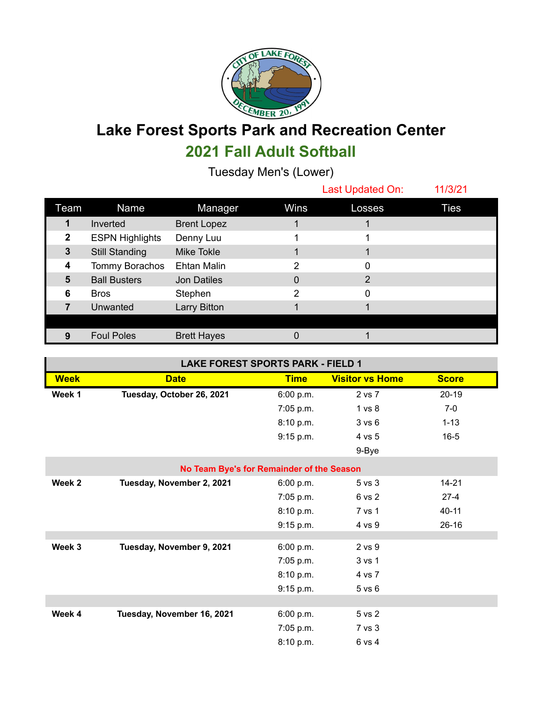

## **Lake Forest Sports Park and Recreation Center 2021 Fall Adult Softball**

Tuesday Men's (Lower)

|              |                        |                    |      | Last Updated On: | 11/3/21     |
|--------------|------------------------|--------------------|------|------------------|-------------|
| Team         | <b>Name</b>            | Manager            | Wins | Losses           | <b>Ties</b> |
|              | Inverted               | <b>Brent Lopez</b> |      |                  |             |
| $\mathbf{2}$ | <b>ESPN Highlights</b> | Denny Luu          |      |                  |             |
| $\mathbf{3}$ | <b>Still Standing</b>  | Mike Tokle         |      |                  |             |
| 4            | Tommy Borachos         | <b>Ehtan Malin</b> | 2    | 0                |             |
| 5            | <b>Ball Busters</b>    | Jon Datiles        | 0    | 2                |             |
| 6            | <b>Bros</b>            | Stephen            | 2    | 0                |             |
|              | Unwanted               | Larry Bitton       |      |                  |             |
|              |                        |                    |      |                  |             |
|              | <b>Foul Poles</b>      | <b>Brett Hayes</b> |      |                  |             |

| <b>LAKE FOREST SPORTS PARK - FIELD 1</b>  |                            |             |                        |              |  |  |  |  |
|-------------------------------------------|----------------------------|-------------|------------------------|--------------|--|--|--|--|
| <b>Week</b>                               | <b>Date</b>                | <b>Time</b> | <b>Visitor vs Home</b> | <b>Score</b> |  |  |  |  |
| Week 1                                    | Tuesday, October 26, 2021  | 6:00 p.m.   | 2 vs 7                 | $20-19$      |  |  |  |  |
|                                           |                            | 7:05 p.m.   | 1 vs 8                 | $7-0$        |  |  |  |  |
|                                           |                            | 8:10 p.m.   | 3 v s 6                | $1 - 13$     |  |  |  |  |
|                                           |                            | 9:15 p.m.   | 4 vs 5                 | $16 - 5$     |  |  |  |  |
|                                           |                            |             | 9-Bye                  |              |  |  |  |  |
| No Team Bye's for Remainder of the Season |                            |             |                        |              |  |  |  |  |
| Week 2                                    | Tuesday, November 2, 2021  | 6:00 p.m.   | 5 vs 3                 | $14 - 21$    |  |  |  |  |
|                                           |                            | 7:05 p.m.   | 6 vs 2                 | $27 - 4$     |  |  |  |  |
|                                           |                            | 8:10 p.m.   | 7 vs 1                 | $40 - 11$    |  |  |  |  |
|                                           |                            | 9:15 p.m.   | 4 vs 9                 | $26-16$      |  |  |  |  |
|                                           |                            |             |                        |              |  |  |  |  |
| Week 3                                    | Tuesday, November 9, 2021  | 6:00 p.m.   | 2 vs 9                 |              |  |  |  |  |
|                                           |                            | 7:05 p.m.   | 3 vs 1                 |              |  |  |  |  |
|                                           |                            | 8:10 p.m.   | 4 vs 7                 |              |  |  |  |  |
|                                           |                            | 9:15 p.m.   | $5$ vs $6$             |              |  |  |  |  |
|                                           |                            |             |                        |              |  |  |  |  |
| Week 4                                    | Tuesday, November 16, 2021 | 6:00 p.m.   | 5 vs 2                 |              |  |  |  |  |
|                                           |                            | 7:05 p.m.   | 7 vs 3                 |              |  |  |  |  |
|                                           |                            | 8:10 p.m.   | 6 vs 4                 |              |  |  |  |  |